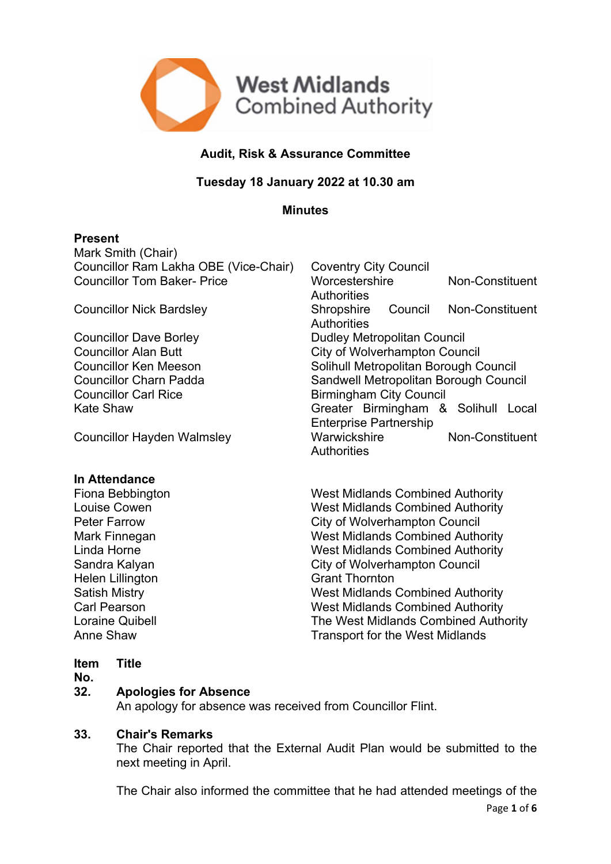

# **Audit, Risk & Assurance Committee**

## **Tuesday 18 January 2022 at 10.30 am**

## **Minutes**

## **Present**

Mark Smith (Chair) Councillor Ram Lakha OBE (Vice-Chair) Coventry City Council

## **In Attendance**

Helen Lillington Grant Thornton

Councillor Tom Baker- Price Worcestershire Non-Constituent **Authorities** Councillor Nick Bardsley Shropshire Council Non-Constituent **Authorities** Councillor Dave Borley **Dumes** Dudley Metropolitan Council Councillor Alan Butt City of Wolverhampton Council Councillor Ken Meeson Solihull Metropolitan Borough Council Councillor Charn Padda Sandwell Metropolitan Borough Council Councillor Carl Rice **Birmingham City Council** Kate Shaw **Greater** Birmingham & Solihull Local Enterprise Partnership Councillor Hayden Walmsley Marwickshire Non-Constituent **Authorities** 

Fiona Bebbington West Midlands Combined Authority Louise Cowen **Midlands** Combined Authority Peter Farrow **City of Wolverhampton Council** Mark Finnegan West Midlands Combined Authority Linda Horne **Midlands** Combined Authority Sandra Kalyan **City of Wolverhampton Council** Satish Mistry West Midlands Combined Authority Carl Pearson West Midlands Combined Authority Loraine Quibell The West Midlands Combined Authority Anne Shaw **Transport for the West Midlands** 

#### **Item Title**

## **No.**

## **32. Apologies for Absence**

An apology for absence was received from Councillor Flint.

## **33. Chair's Remarks**

The Chair reported that the External Audit Plan would be submitted to the next meeting in April.

Page **1** of **6** The Chair also informed the committee that he had attended meetings of the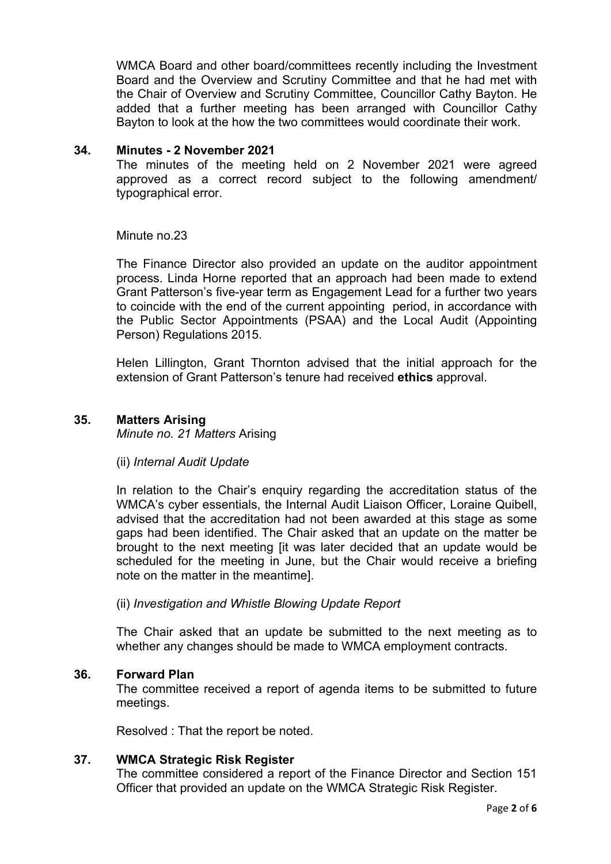WMCA Board and other board/committees recently including the Investment Board and the Overview and Scrutiny Committee and that he had met with the Chair of Overview and Scrutiny Committee, Councillor Cathy Bayton. He added that a further meeting has been arranged with Councillor Cathy Bayton to look at the how the two committees would coordinate their work.

#### **34. Minutes - 2 November 2021**

The minutes of the meeting held on 2 November 2021 were agreed approved as a correct record subject to the following amendment/ typographical error.

Minute no.23

The Finance Director also provided an update on the auditor appointment process. Linda Horne reported that an approach had been made to extend Grant Patterson's five-year term as Engagement Lead for a further two years to coincide with the end of the current appointing period, in accordance with the Public Sector Appointments (PSAA) and the Local Audit (Appointing Person) Regulations 2015.

Helen Lillington, Grant Thornton advised that the initial approach for the extension of Grant Patterson's tenure had received **ethics** approval.

## **35. Matters Arising**

*Minute no. 21 Matters* Arising

#### (ii) *Internal Audit Update*

In relation to the Chair's enquiry regarding the accreditation status of the WMCA's cyber essentials, the Internal Audit Liaison Officer, Loraine Quibell, advised that the accreditation had not been awarded at this stage as some gaps had been identified. The Chair asked that an update on the matter be brought to the next meeting [it was later decided that an update would be scheduled for the meeting in June, but the Chair would receive a briefing note on the matter in the meantime].

(ii) *Investigation and Whistle Blowing Update Report*

The Chair asked that an update be submitted to the next meeting as to whether any changes should be made to WMCA employment contracts.

#### **36. Forward Plan**

The committee received a report of agenda items to be submitted to future meetings.

Resolved : That the report be noted.

## **37. WMCA Strategic Risk Register**

The committee considered a report of the Finance Director and Section 151 Officer that provided an update on the WMCA Strategic Risk Register.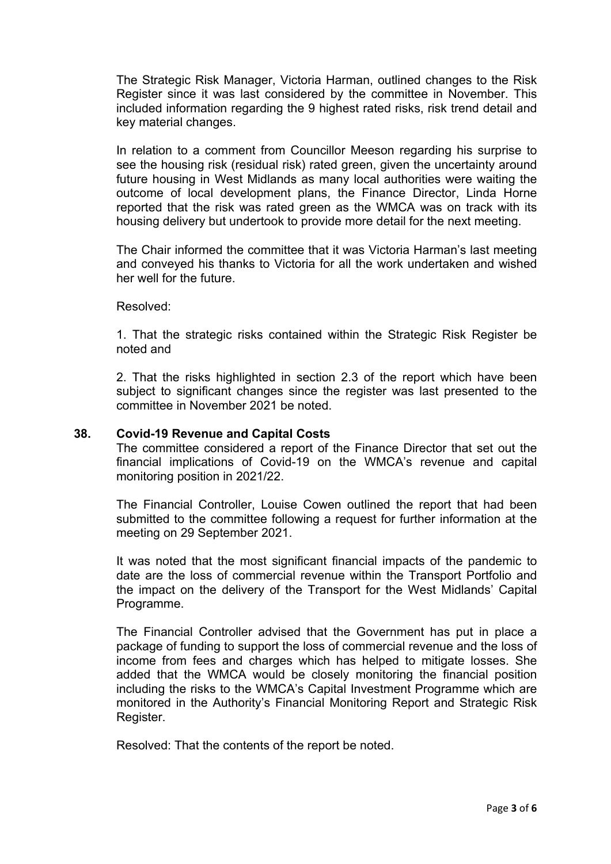The Strategic Risk Manager, Victoria Harman, outlined changes to the Risk Register since it was last considered by the committee in November. This included information regarding the 9 highest rated risks, risk trend detail and key material changes.

In relation to a comment from Councillor Meeson regarding his surprise to see the housing risk (residual risk) rated green, given the uncertainty around future housing in West Midlands as many local authorities were waiting the outcome of local development plans, the Finance Director, Linda Horne reported that the risk was rated green as the WMCA was on track with its housing delivery but undertook to provide more detail for the next meeting.

The Chair informed the committee that it was Victoria Harman's last meeting and conveyed his thanks to Victoria for all the work undertaken and wished her well for the future.

Resolved:

1. That the strategic risks contained within the Strategic Risk Register be noted and

2. That the risks highlighted in section 2.3 of the report which have been subject to significant changes since the register was last presented to the committee in November 2021 be noted.

#### **38. Covid-19 Revenue and Capital Costs**

The committee considered a report of the Finance Director that set out the financial implications of Covid-19 on the WMCA's revenue and capital monitoring position in 2021/22.

The Financial Controller, Louise Cowen outlined the report that had been submitted to the committee following a request for further information at the meeting on 29 September 2021.

It was noted that the most significant financial impacts of the pandemic to date are the loss of commercial revenue within the Transport Portfolio and the impact on the delivery of the Transport for the West Midlands' Capital Programme.

The Financial Controller advised that the Government has put in place a package of funding to support the loss of commercial revenue and the loss of income from fees and charges which has helped to mitigate losses. She added that the WMCA would be closely monitoring the financial position including the risks to the WMCA's Capital Investment Programme which are monitored in the Authority's Financial Monitoring Report and Strategic Risk Register.

Resolved: That the contents of the report be noted.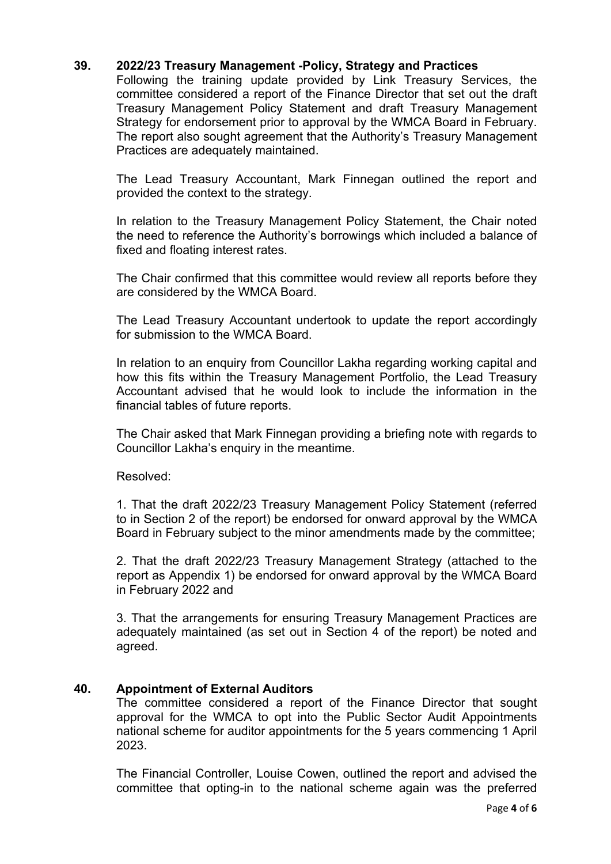## **39. 2022/23 Treasury Management -Policy, Strategy and Practices**

Following the training update provided by Link Treasury Services, the committee considered a report of the Finance Director that set out the draft Treasury Management Policy Statement and draft Treasury Management Strategy for endorsement prior to approval by the WMCA Board in February. The report also sought agreement that the Authority's Treasury Management Practices are adequately maintained.

The Lead Treasury Accountant, Mark Finnegan outlined the report and provided the context to the strategy.

In relation to the Treasury Management Policy Statement, the Chair noted the need to reference the Authority's borrowings which included a balance of fixed and floating interest rates.

The Chair confirmed that this committee would review all reports before they are considered by the WMCA Board.

The Lead Treasury Accountant undertook to update the report accordingly for submission to the WMCA Board.

In relation to an enquiry from Councillor Lakha regarding working capital and how this fits within the Treasury Management Portfolio, the Lead Treasury Accountant advised that he would look to include the information in the financial tables of future reports.

The Chair asked that Mark Finnegan providing a briefing note with regards to Councillor Lakha's enquiry in the meantime.

Resolved:

1. That the draft 2022/23 Treasury Management Policy Statement (referred to in Section 2 of the report) be endorsed for onward approval by the WMCA Board in February subject to the minor amendments made by the committee;

2. That the draft 2022/23 Treasury Management Strategy (attached to the report as Appendix 1) be endorsed for onward approval by the WMCA Board in February 2022 and

3. That the arrangements for ensuring Treasury Management Practices are adequately maintained (as set out in Section 4 of the report) be noted and agreed.

## **40. Appointment of External Auditors**

The committee considered a report of the Finance Director that sought approval for the WMCA to opt into the Public Sector Audit Appointments national scheme for auditor appointments for the 5 years commencing 1 April 2023.

The Financial Controller, Louise Cowen, outlined the report and advised the committee that opting-in to the national scheme again was the preferred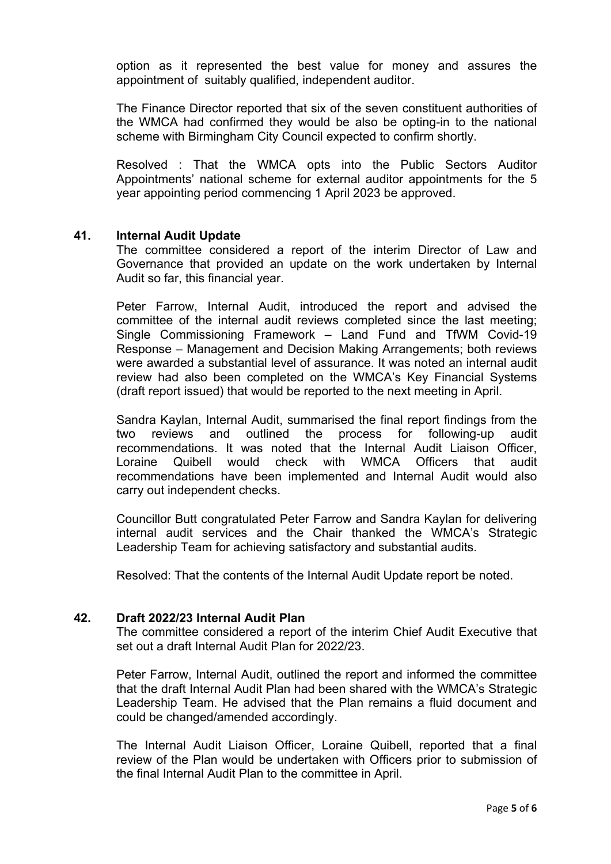option as it represented the best value for money and assures the appointment of suitably qualified, independent auditor.

The Finance Director reported that six of the seven constituent authorities of the WMCA had confirmed they would be also be opting-in to the national scheme with Birmingham City Council expected to confirm shortly.

Resolved : That the WMCA opts into the Public Sectors Auditor Appointments' national scheme for external auditor appointments for the 5 year appointing period commencing 1 April 2023 be approved.

#### **41. Internal Audit Update**

The committee considered a report of the interim Director of Law and Governance that provided an update on the work undertaken by Internal Audit so far, this financial year.

Peter Farrow, Internal Audit, introduced the report and advised the committee of the internal audit reviews completed since the last meeting; Single Commissioning Framework – Land Fund and TfWM Covid-19 Response – Management and Decision Making Arrangements; both reviews were awarded a substantial level of assurance. It was noted an internal audit review had also been completed on the WMCA's Key Financial Systems (draft report issued) that would be reported to the next meeting in April.

Sandra Kaylan, Internal Audit, summarised the final report findings from the two reviews and outlined the process for following-up audit recommendations. It was noted that the Internal Audit Liaison Officer, Loraine Quibell would check with WMCA Officers that audit recommendations have been implemented and Internal Audit would also carry out independent checks.

Councillor Butt congratulated Peter Farrow and Sandra Kaylan for delivering internal audit services and the Chair thanked the WMCA's Strategic Leadership Team for achieving satisfactory and substantial audits.

Resolved: That the contents of the Internal Audit Update report be noted.

## **42. Draft 2022/23 Internal Audit Plan**

The committee considered a report of the interim Chief Audit Executive that set out a draft Internal Audit Plan for 2022/23.

Peter Farrow, Internal Audit, outlined the report and informed the committee that the draft Internal Audit Plan had been shared with the WMCA's Strategic Leadership Team. He advised that the Plan remains a fluid document and could be changed/amended accordingly.

The Internal Audit Liaison Officer, Loraine Quibell, reported that a final review of the Plan would be undertaken with Officers prior to submission of the final Internal Audit Plan to the committee in April.